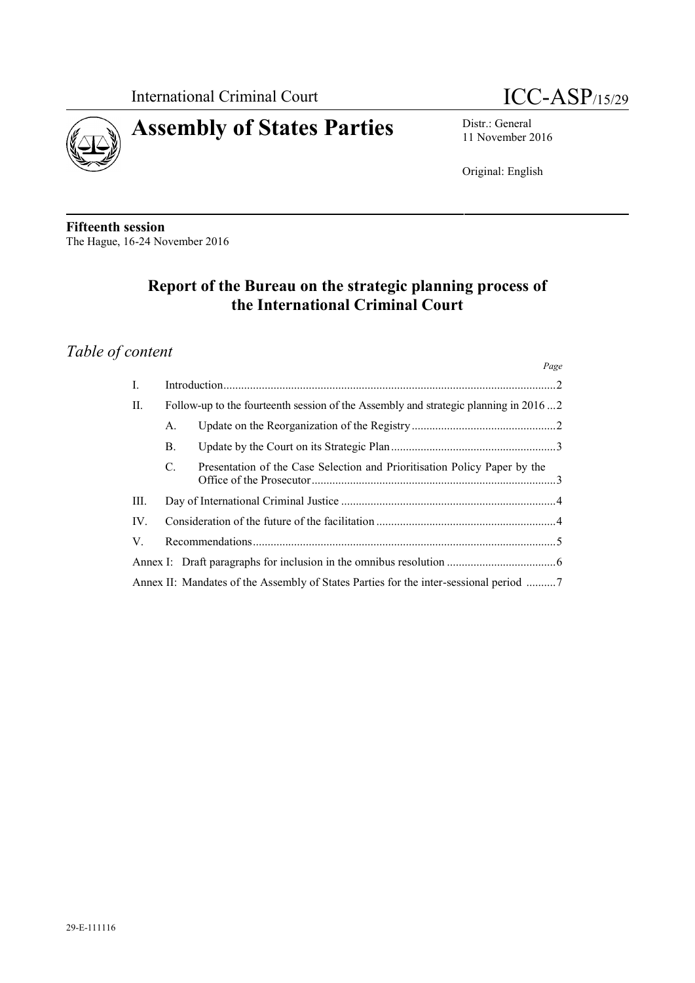



11 November 2016

Original: English

**Fifteenth session** The Hague, 16-24 November 2016

# **Report of the Bureau on the strategic planning process of the International Criminal Court**

# *Table of content*

|                |                                                                                     |                                                                                     | Page |
|----------------|-------------------------------------------------------------------------------------|-------------------------------------------------------------------------------------|------|
| $\mathbf{I}$ . |                                                                                     |                                                                                     |      |
| II.            | Follow-up to the fourteenth session of the Assembly and strategic planning in 20162 |                                                                                     |      |
|                | А.                                                                                  |                                                                                     |      |
|                | <b>B.</b>                                                                           |                                                                                     |      |
|                | C.                                                                                  | Presentation of the Case Selection and Prioritisation Policy Paper by the           |      |
| III.           |                                                                                     |                                                                                     |      |
| $IV_{-}$       |                                                                                     |                                                                                     |      |
| V.             |                                                                                     |                                                                                     |      |
|                |                                                                                     |                                                                                     |      |
|                |                                                                                     | Annex II: Mandates of the Assembly of States Parties for the inter-sessional period |      |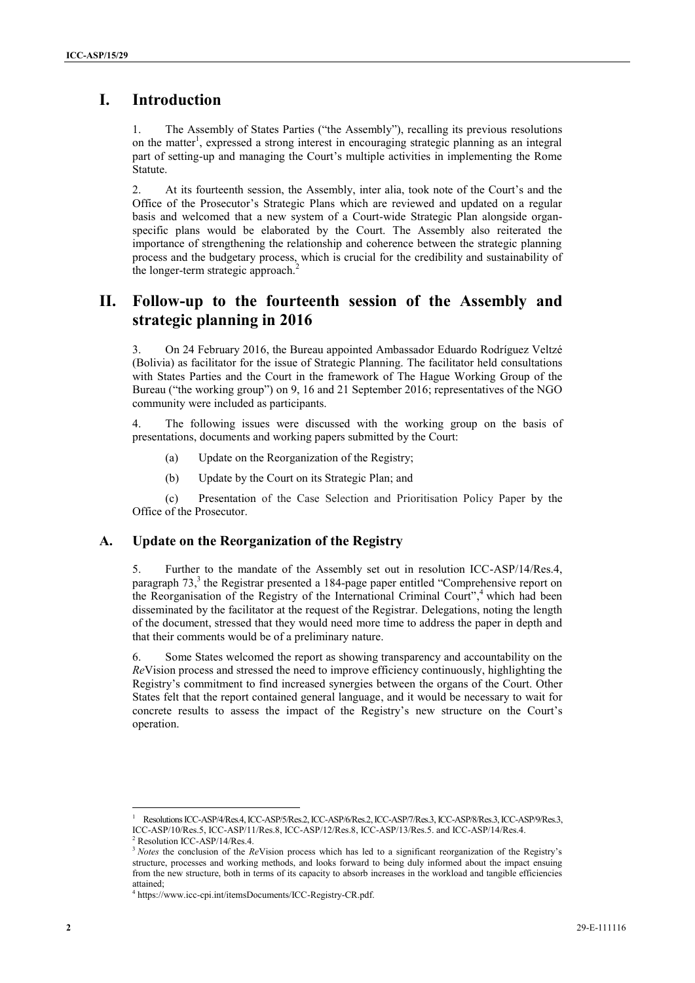# **I. Introduction**

1. The Assembly of States Parties ("the Assembly"), recalling its previous resolutions on the matter<sup>1</sup>, expressed a strong interest in encouraging strategic planning as an integral part of setting-up and managing the Court's multiple activities in implementing the Rome **Statute** 

**2.** Introduction<br>
2. The Acensiby of Sizus Parties (the Acensiby), reculing its presence realization<br>
2. The Acensiby of Sizus Darbid about the Sizus Parties (the Acensiby and Control into the Control into the Control in 2. At its fourteenth session, the Assembly, inter alia, took note of the Court's and the Office of the Prosecutor's Strategic Plans which are reviewed and updated on a regular basis and welcomed that a new system of a Court-wide Strategic Plan alongside organ specific plans would be elaborated by the Court. The Assembly also reiterated the importance of strengthening the relationship and coherence between the strategic planning process and the budgetary process, which is crucial for the credibility and sustainability of the longer-term strategic approach.<sup>2</sup>

## **II. Follow-up to the fourteenth session of the Assembly and strategic planning in 2016**

3. On 24 February 2016, the Bureau appointed Ambassador Eduardo Rodríguez Veltzé (Bolivia) as facilitator for the issue of Strategic Planning. The facilitator held consultations with States Parties and the Court in the framework of The Hague Working Group of the Bureau ("the working group") on 9, 16 and 21 September 2016; representatives of the NGO community were included as participants.

4. The following issues were discussed with the working group on the basis of presentations, documents and working papers submitted by the Court:

- (a) Update on the Reorganization of the Registry;
- (b) Update by the Court on its Strategic Plan; and

(c) Presentation of the Case Selection and Prioritisation Policy Paper by the Office of the Prosecutor.

#### **A. Update on the Reorganization of the Registry**

5. Further to the mandate of the Assembly set out in resolution ICC-ASP/14/Res.4, paragraph 73,<sup>3</sup> the Registrar presented a 184-page paper entitled "Comprehensive report on the Reorganisation of the Registry of the International Criminal Court",<sup>4</sup> which had been disseminated by the facilitator at the request of the Registrar. Delegations, noting the length of the document, stressed that they would need more time to address the paper in depth and that their comments would be of a preliminary nature.

6. Some States welcomed the report as showing transparency and accountability on the *Re*Vision process and stressed the need to improve efficiency continuously, highlighting the Registry's commitment to find increased synergies between the organs of the Court. Other States felt that the report contained general language, and it would be necessary to wait for concrete results to assess the impact of the Registry's new structure on the Court's operation.

<sup>1</sup> ResolutionsICC-ASP/4/Res.4,ICC-ASP/5/Res.2,ICC-ASP/6/Res.2,ICC-ASP/7/Res.3,ICC-ASP/8/Res.3,ICC-ASP/9/Res.3, ICC-ASP/10/Res.5, ICC-ASP/11/Res.8, ICC-ASP/12/Res.8, ICC-ASP/13/Res.5. and ICC-ASP/14/Res.4.

<sup>2</sup> Resolution ICC-ASP/14/Res.4.

<sup>&</sup>lt;sup>3</sup> *Notes* the conclusion of the *ReV*ision process which has led to a significant reorganization of the Registry's structure, processes and working methods, and looks forward to being duly informed about the impact ensuing from the new structure, both in terms of its capacity to absorb increases in the workload and tangible efficiencies attained; <sup>4</sup> https://www.icc-cpi.int/itemsDocuments/ICC-Registry-CR.pdf.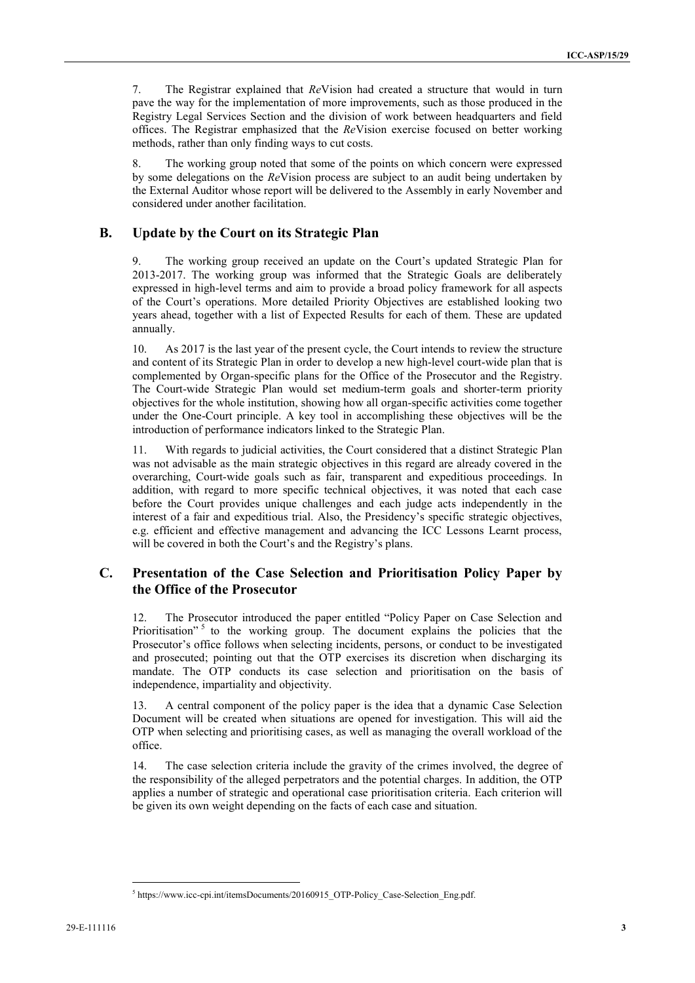7. The Registrar explained that *Re*Vision had created a structure that would in turn pave the way for the implementation of more improvements, such as those produced in the Registry Legal Services Section and the division of work between headquarters and field offices. The Registrar emphasized that the *Re*Vision exercise focused on better working methods, rather than only finding ways to cut costs.

8. The working group noted that some of the points on which concern were expressed by some delegations on the *Re*Vision process are subject to an audit being undertaken by the External Auditor whose report will be delivered to the Assembly in early November and considered under another facilitation.

#### **B. Update by the Court on its Strategic Plan**

9. The working group received an update on the Court's updated Strategic Plan for 2013-2017. The working group was informed that the Strategic Goals are deliberately expressed in high-level terms and aim to provide a broad policy framework for all aspects of the Court's operations. More detailed Priority Objectives are established looking two years ahead, together with a list of Expected Results for each of them. These are updated annually.

10. As 2017 is the last year of the present cycle, the Court intends to review the structure and content of its Strategic Plan in order to develop a new high-level court-wide plan that is complemented by Organ-specific plans for the Office of the Prosecutor and the Registry. The Court-wide Strategic Plan would set medium-term goals and shorter-term priority objectives for the whole institution, showing how all organ-specific activities come together under the One-Court principle. A key tool in accomplishing these objectives will be the introduction of performance indicators linked to the Strategic Plan.

11. With regards to judicial activities, the Court considered that a distinct Strategic Plan was not advisable as the main strategic objectives in this regard are already covered in the overarching, Court-wide goals such as fair, transparent and expeditious proceedings. In addition, with regard to more specific technical objectives, it was noted that each case before the Court provides unique challenges and each judge acts independently in the interest of a fair and expeditious trial. Also, the Presidency's specific strategic objectives, e.g. efficient and effective management and advancing the ICC Lessons Learnt process, will be covered in both the Court's and the Registry's plans.

#### **C. Presentation of the Case Selection and Prioritisation Policy Paper by the Office of the Prosecutor**

12. The Prosecutor introduced the paper entitled "Policy Paper on Case Selection and Prioritisation"<sup>5</sup> to the working group. The document explains the policies that the Prosecutor's office follows when selecting incidents, persons, or conduct to be investigated and prosecuted; pointing out that the OTP exercises its discretion when discharging its mandate. The OTP conducts its case selection and prioritisation on the basis of independence, impartiality and objectivity.

13. A central component of the policy paper is the idea that a dynamic Case Selection Document will be created when situations are opened for investigation. This will aid the OTP when selecting and prioritising cases, as well as managing the overall workload of the office.

14. The case selection criteria include the gravity of the crimes involved, the degree of the responsibility of the alleged perpetrators and the potential charges. In addition, the OTP applies a number of strategic and operational case prioritisation criteria. Each criterion will be given its own weight depending on the facts of each case and situation.

<sup>&</sup>lt;sup>5</sup> https://www.icc-cpi.int/itemsDocuments/20160915\_OTP-Policy\_Case-Selection\_Eng.pdf.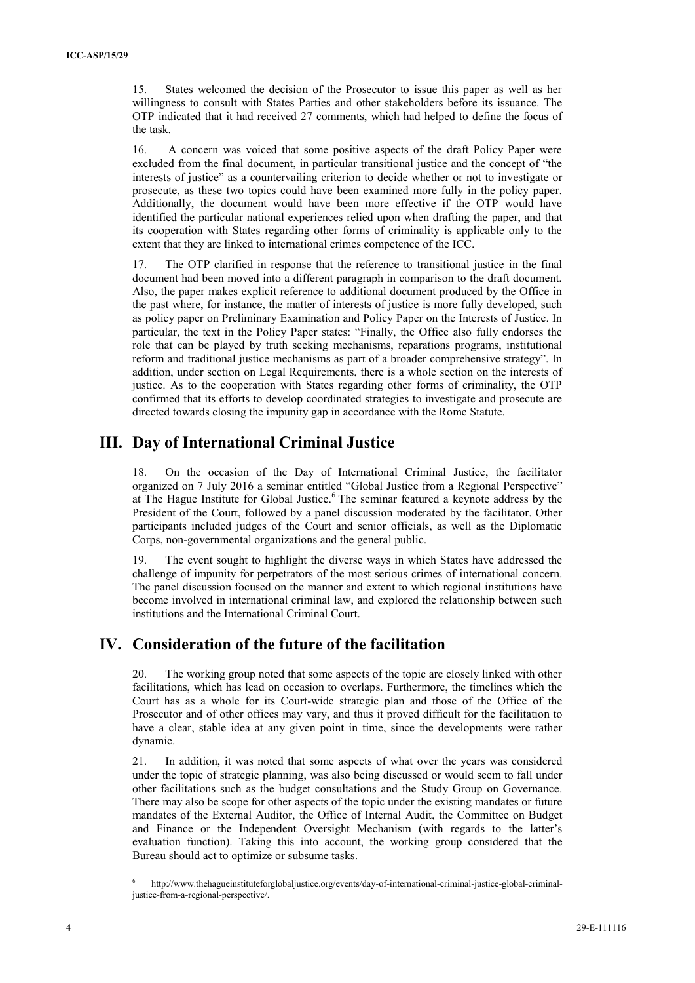15. States welcomed the decision of the Prosecutor to issue this paper as well as her <sup>4</sup> willingness to consult with States Parties and other stakeholders before its issuance. The OTP indicated that it had received 27 comments, which had helped to define the focus of the task.

16. A concern was voiced that some positive aspects of the draft Policy Paper were excluded from the final document, in particular transitional justice and the concept of "the interests of justice" as a countervailing criterion to decide whether or not to investigate or prosecute, as these two topics could have been examined more fully in the policy paper. Additionally, the document would have been more effective if the OTP would have identified the particular national experiences relied upon when drafting the paper, and that its cooperation with States regarding other forms of criminality is applicable only to the extent that they are linked to international crimes competence of the ICC.

13 Sove seloon, it is chosen of the Posterior to read the step of a term of the step of a term of the step of a term of the step of a term of the step of a term of the step of a term of the step of the step of the step of 17. The OTP clarified in response that the reference to transitional justice in the final document had been moved into a different paragraph in comparison to the draft document. Also, the paper makes explicit reference to additional document produced by the Office in the past where, for instance, the matter of interests of justice is more fully developed, such as policy paper on Preliminary Examination and Policy Paper on the Interests of Justice. In particular, the text in the Policy Paper states: "Finally, the Office also fully endorses the role that can be played by truth seeking mechanisms, reparations programs, institutional reform and traditional justice mechanisms as part of a broader comprehensive strategy". In addition, under section on Legal Requirements, there is a whole section on the interests of justice. As to the cooperation with States regarding other forms of criminality, the OTP confirmed that its efforts to develop coordinated strategies to investigate and prosecute are directed towards closing the impunity gap in accordance with the Rome Statute.

## **III. Day of International Criminal Justice**

18. On the occasion of the Day of International Criminal Justice, the facilitator organized on 7 July 2016 a seminar entitled "Global Justice from a Regional Perspective" at The Hague Institute for Global Justice.<sup>6</sup> The seminar featured a keynote address by the President of the Court, followed by a panel discussion moderated by the facilitator. Other participants included judges of the Court and senior officials, as well as the Diplomatic Corps, non-governmental organizations and the general public.

19. The event sought to highlight the diverse ways in which States have addressed the challenge of impunity for perpetrators of the most serious crimes of international concern. The panel discussion focused on the manner and extent to which regional institutions have become involved in international criminal law, and explored the relationship between such institutions and the International Criminal Court.

## **IV. Consideration of the future of the facilitation**

20. The working group noted that some aspects of the topic are closely linked with other facilitations, which has lead on occasion to overlaps. Furthermore, the timelines which the Court has as a whole for its Court-wide strategic plan and those of the Office of the Prosecutor and of other offices may vary, and thus it proved difficult for the facilitation to have a clear, stable idea at any given point in time, since the developments were rather dynamic.

21. In addition, it was noted that some aspects of what over the years was considered under the topic of strategic planning, was also being discussed or would seem to fall under other facilitations such as the budget consultations and the Study Group on Governance. There may also be scope for other aspects of the topic under the existing mandates or future mandates of the External Auditor, the Office of Internal Audit, the Committee on Budget and Finance or the Independent Oversight Mechanism (with regards to the latter's evaluation function). Taking this into account, the working group considered that the Bureau should act to optimize or subsume tasks.

<sup>6</sup> http://www.thehagueinstituteforglobaljustice.org/events/day-of-international-criminal-justice-global-criminaljustice-from-a-regional-perspective/.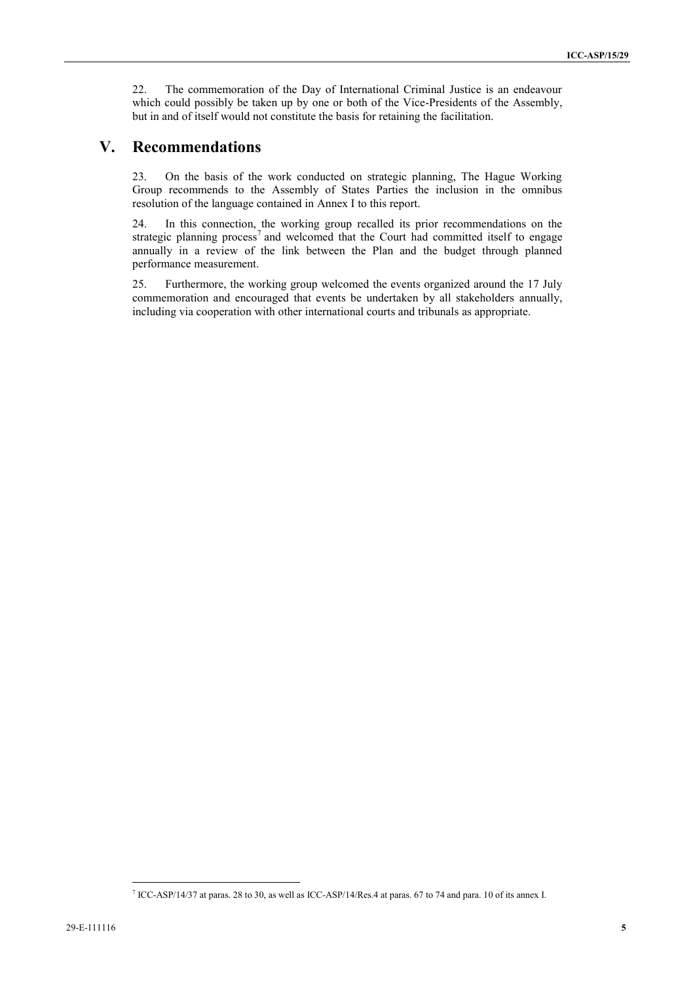22. The commemoration of the Day of International Criminal Justice is an endeavour which could possibly be taken up by one or both of the Vice-Presidents of the Assembly, but in and of itself would not constitute the basis for retaining the facilitation.

#### **V. Recommendations**

23. On the basis of the work conducted on strategic planning, The Hague Working Group recommends to the Assembly of States Parties the inclusion in the omnibus resolution of the language contained in Annex I to this report.

24. In this connection, the working group recalled its prior recommendations on the strategic planning process<sup>7</sup> and welcomed that the Court had committed itself to engage annually in a review of the link between the Plan and the budget through planned performance measurement.

25. Furthermore, the working group welcomed the events organized around the 17 July commemoration and encouraged that events be undertaken by all stakeholders annually, including via cooperation with other international courts and tribunals as appropriate.

<sup>7</sup> ICC-ASP/14/37 at paras. 28 to 30, as well as ICC-ASP/14/Res.4 at paras. 67 to 74 and para. 10 of its annex I.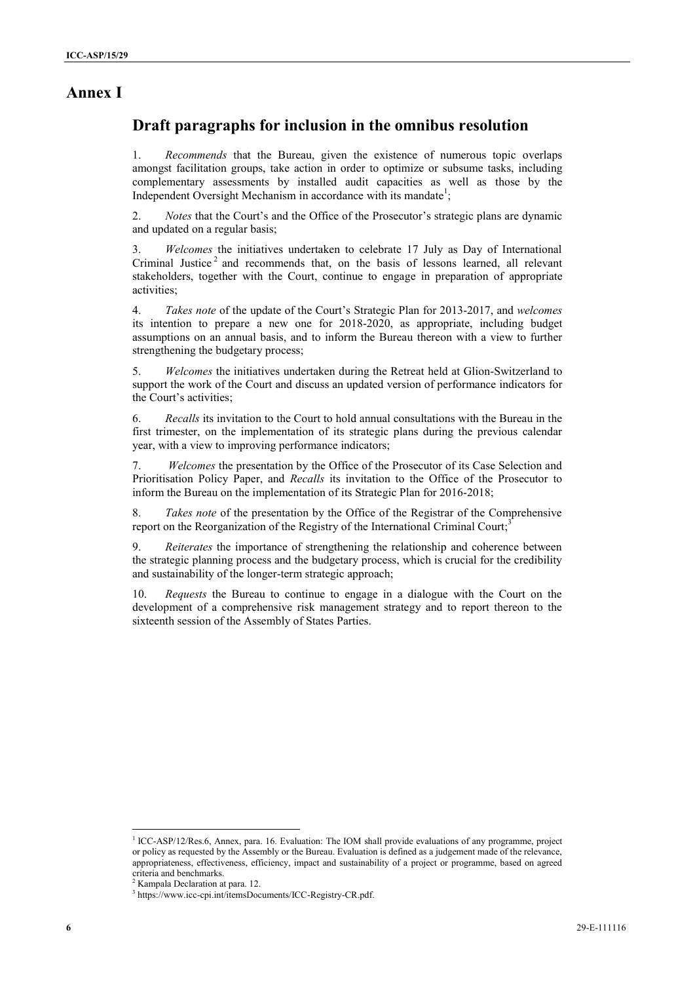### **Annex I**

### **Draft paragraphs for inclusion in the omnibus resolution**

1. *Recommends* that the Bureau, given the existence of numerous topic overlaps amongst facilitation groups, take action in order to optimize or subsume tasks, including complementary assessments by installed audit capacities as well as those by the Independent Oversight Mechanism in accordance with its mandate<sup>1</sup>;

2. *Notes* that the Court's and the Office of the Prosecutor's strategic plans are dynamic and updated on a regular basis;

**EXAMPLE 1**<br> **EXAMPLE 2008 CONSULTER CONSULTER CONSULTER CONSULTER CONSULTER CONSULTER CONSULTER CONSULTER CONSULTER CONSULTER CONSULTER CONSULTER CONSULTER CONSULTER CONSULTER CONSULTER CONSULTER CONSULTER CONSULTER CO** 3. *Welcomes* the initiatives undertaken to celebrate 17 July as Day of International Criminal Justice<sup>2</sup> and recommends that, on the basis of lessons learned, all relevant stakeholders, together with the Court, continue to engage in preparation of appropriate activities;

4. *Takes note* of the update of the Court's Strategic Plan for 2013-2017, and *welcomes* its intention to prepare a new one for 2018-2020, as appropriate, including budget assumptions on an annual basis, and to inform the Bureau thereon with a view to further strengthening the budgetary process;

5. *Welcomes* the initiatives undertaken during the Retreat held at Glion-Switzerland to support the work of the Court and discuss an updated version of performance indicators for the Court's activities;

6. *Recalls* its invitation to the Court to hold annual consultations with the Bureau in the first trimester, on the implementation of its strategic plans during the previous calendar year, with a view to improving performance indicators;

7. *Welcomes* the presentation by the Office of the Prosecutor of its Case Selection and Prioritisation Policy Paper, and *Recalls* its invitation to the Office of the Prosecutor to inform the Bureau on the implementation of its Strategic Plan for 2016-2018;

8. *Takes note* of the presentation by the Office of the Registrar of the Comprehensive report on the Reorganization of the Registry of the International Criminal Court;<sup>3</sup>

9. *Reiterates* the importance of strengthening the relationship and coherence between the strategic planning process and the budgetary process, which is crucial for the credibility and sustainability of the longer-term strategic approach;

10. *Requests* the Bureau to continue to engage in a dialogue with the Court on the development of a comprehensive risk management strategy and to report thereon to the sixteenth session of the Assembly of States Parties.

<sup>&</sup>lt;sup>1</sup> ICC-ASP/12/Res.6, Annex, para. 16. Evaluation: The IOM shall provide evaluations of any programme, project or policy as requested by the Assembly or the Bureau. Evaluation is defined as a judgement made of the relevance, appropriateness, effectiveness, efficiency, impact and sustainability of a project or programme, based on agreed criteria and benchmarks.<br><sup>2</sup> Kampala Declaration at para. 12.

<sup>&</sup>lt;sup>3</sup> https://www.icc-cpi.int/itemsDocuments/ICC-Registry-CR.pdf.